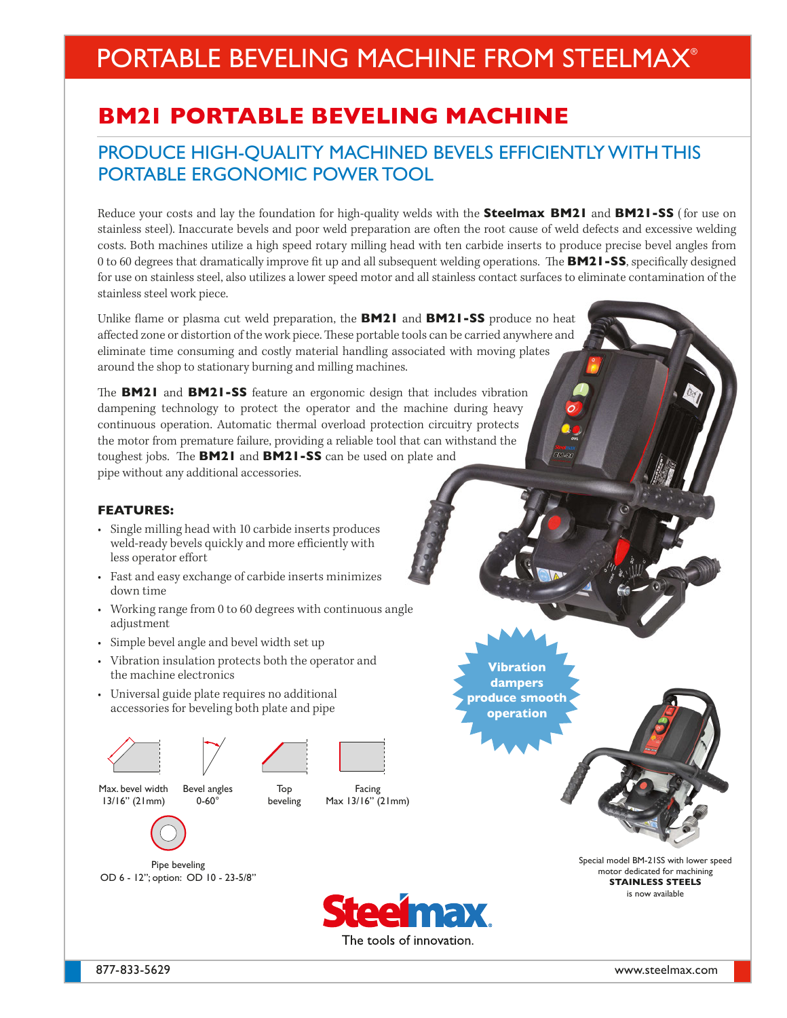# PORTABLE BEVELING MACHINE FROM STEELMAX®

## **BM21 PORTABLE BEVELING MACHINE**

### PRODUCE HIGH-QUALITY MACHINED BEVELS EFFICIENTLY WITH THIS PORTABLE ERGONOMIC POWER TOOL

Reduce your costs and lay the foundation for high-quality welds with the **Steelmax BM21** and **BM21-SS** ( for use on stainless steel). Inaccurate bevels and poor weld preparation are often the root cause of weld defects and excessive welding costs. Both machines utilize a high speed rotary milling head with ten carbide inserts to produce precise bevel angles from 0 to 60 degrees that dramatically improve fit up and all subsequent welding operations. The **BM21-SS**, specifically designed for use on stainless steel, also utilizes a lower speed motor and all stainless contact surfaces to eliminate contamination of the stainless steel work piece.

Unlike flame or plasma cut weld preparation, the **BM21** and **BM21-SS** produce no heat affected zone or distortion of the work piece. These portable tools can be carried anywhere and eliminate time consuming and costly material handling associated with moving plates around the shop to stationary burning and milling machines.

The **BM21** and **BM21-SS** feature an ergonomic design that includes vibration dampening technology to protect the operator and the machine during heavy continuous operation. Automatic thermal overload protection circuitry protects the motor from premature failure, providing a reliable tool that can withstand the toughest jobs. The **BM21** and **BM21-SS** can be used on plate and pipe without any additional accessories.

### **FEATURES:**

- Single milling head with 10 carbide inserts produces weld-ready bevels quickly and more efficiently with less operator effort
- Fast and easy exchange of carbide inserts minimizes down time
- Working range from 0 to 60 degrees with continuous angle adjustment
- Simple bevel angle and bevel width set up
- Vibration insulation protects both the operator and the machine electronics
- Universal guide plate requires no additional accessories for beveling both plate and pipe







Max. bevel width 13/16" (21mm) Bevel angles 0-60°



Facing Max 13/16" (21mm)

Pipe beveling OD 6 - 12"; option: OD 10 - 23-5/8"



**Vibration dampers produce smooth operation**

> Special model BM-21SS with lower speed motor dedicated for machining **STAINLESS STEELS** is now available

877-833-5629 www.steelmax.com